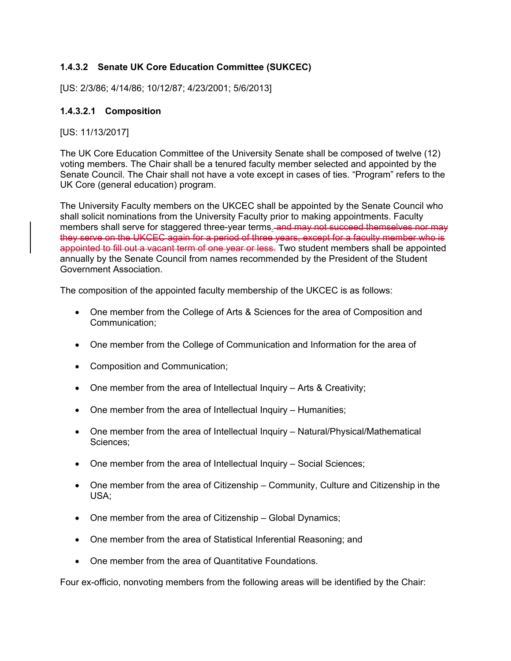# **1.4.3.2 Senate UK Core Education Committee (SUKCEC)**

[US: 2/3/86; 4/14/86; 10/12/87; 4/23/2001; 5/6/2013]

# **1.4.3.2.1 Composition**

# [US: 11/13/2017]

The UK Core Education Committee of the University Senate shall be composed of twelve (12) voting members. The Chair shall be a tenured faculty member selected and appointed by the Senate Council. The Chair shall not have a vote except in cases of ties. "Program" refers to the UK Core (general education) program.

The University Faculty members on the UKCEC shall be appointed by the Senate Council who shall solicit nominations from the University Faculty prior to making appointments. Faculty members shall serve for staggered three-year terms. and may not succeed themselves nor may they serve on the UKCEC again for a period of three years, except for a faculty member who is appointed to fill out a vacant term of one year or less. Two student members shall be appointed annually by the Senate Council from names recommended by the President of the Student Government Association.

The composition of the appointed faculty membership of the UKCEC is as follows:

- One member from the College of Arts & Sciences for the area of Composition and Communication;
- One member from the College of Communication and Information for the area of
- Composition and Communication;
- $\bullet$  One member from the area of Intellectual Inquiry Arts & Creativity;
- One member from the area of Intellectual Inquiry Humanities;
- One member from the area of Intellectual Inquiry Natural/Physical/Mathematical Sciences;
- One member from the area of Intellectual Inquiry Social Sciences;
- One member from the area of Citizenship Community, Culture and Citizenship in the USA;
- One member from the area of Citizenship Global Dynamics;
- One member from the area of Statistical Inferential Reasoning; and
- One member from the area of Quantitative Foundations.

Four ex-officio, nonvoting members from the following areas will be identified by the Chair: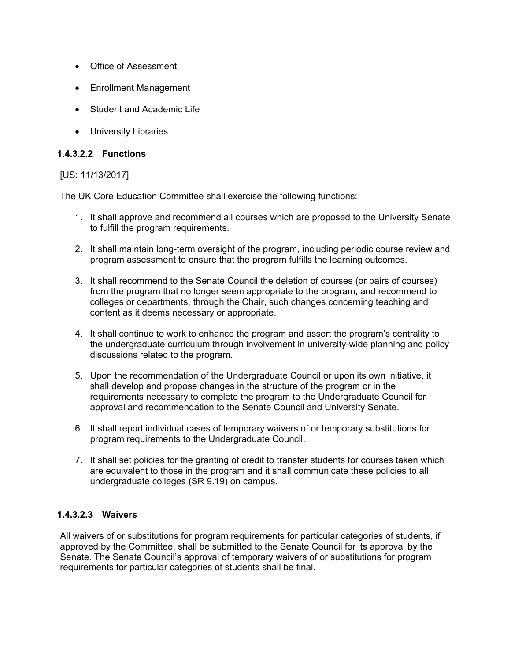- Office of Assessment
- Enrollment Management
- Student and Academic Life
- University Libraries

# **1.4.3.2.2 Functions**

# [US: 11/13/2017]

The UK Core Education Committee shall exercise the following functions:

- 1. It shall approve and recommend all courses which are proposed to the University Senate to fulfill the program requirements.
- 2. It shall maintain long-term oversight of the program, including periodic course review and program assessment to ensure that the program fulfills the learning outcomes.
- 3. It shall recommend to the Senate Council the deletion of courses (or pairs of courses) from the program that no longer seem appropriate to the program, and recommend to colleges or departments, through the Chair, such changes concerning teaching and content as it deems necessary or appropriate.
- 4. It shall continue to work to enhance the program and assert the program's centrality to the undergraduate curriculum through involvement in university-wide planning and policy discussions related to the program.
- 5. Upon the recommendation of the Undergraduate Council or upon its own initiative, it shall develop and propose changes in the structure of the program or in the requirements necessary to complete the program to the Undergraduate Council for approval and recommendation to the Senate Council and University Senate.
- 6. It shall report individual cases of temporary waivers of or temporary substitutions for program requirements to the Undergraduate Council.
- 7. It shall set policies for the granting of credit to transfer students for courses taken which are equivalent to those in the program and it shall communicate these policies to all undergraduate colleges (SR 9.19) on campus.

# **1.4.3.2.3 Waivers**

All waivers of or substitutions for program requirements for particular categories of students, if approved by the Committee, shall be submitted to the Senate Council for its approval by the Senate. The Senate Council's approval of temporary waivers of or substitutions for program requirements for particular categories of students shall be final.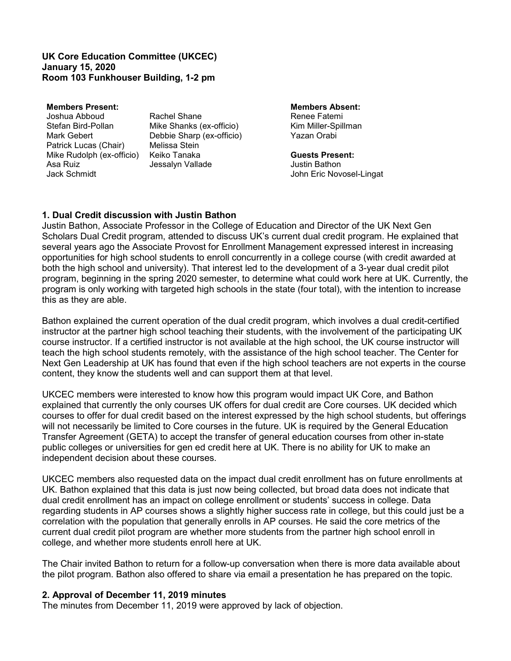### **UK Core Education Committee (UKCEC) January 15, 2020 Room 103 Funkhouser Building, 1-2 pm**

Joshua Abboud Rachel Shane Renee Fatemi Stefan Bird-Pollan Mike Shanks (ex-officio) Kim Miller-Spillman<br>Mark Gebert Bebbie Sharp (ex-officio) Yazan Orabi Patrick Lucas (Chair) Melissa Stein Mike Rudolph (ex-officio) Keiko Tanaka **Guests Present:**

**Members Present:**<br> **Members Absent:**<br> **Members Absolution:**<br> **Renee Fatemi**<br> **Members Absolution:**<br> **Renee Fatemi** Debbie Sharp (ex-officio) Jessalyn Vallade

Jack Schmidt John Eric Novosel-Lingat

# **1. Dual Credit discussion with Justin Bathon**

Justin Bathon, Associate Professor in the College of Education and Director of the UK Next Gen Scholars Dual Credit program, attended to discuss UK's current dual credit program. He explained that several years ago the Associate Provost for Enrollment Management expressed interest in increasing opportunities for high school students to enroll concurrently in a college course (with credit awarded at both the high school and university). That interest led to the development of a 3-year dual credit pilot program, beginning in the spring 2020 semester, to determine what could work here at UK. Currently, the program is only working with targeted high schools in the state (four total), with the intention to increase this as they are able.

Bathon explained the current operation of the dual credit program, which involves a dual credit-certified instructor at the partner high school teaching their students, with the involvement of the participating UK course instructor. If a certified instructor is not available at the high school, the UK course instructor will teach the high school students remotely, with the assistance of the high school teacher. The Center for Next Gen Leadership at UK has found that even if the high school teachers are not experts in the course content, they know the students well and can support them at that level.

UKCEC members were interested to know how this program would impact UK Core, and Bathon explained that currently the only courses UK offers for dual credit are Core courses. UK decided which courses to offer for dual credit based on the interest expressed by the high school students, but offerings will not necessarily be limited to Core courses in the future. UK is required by the General Education Transfer Agreement (GETA) to accept the transfer of general education courses from other in-state public colleges or universities for gen ed credit here at UK. There is no ability for UK to make an independent decision about these courses.

UKCEC members also requested data on the impact dual credit enrollment has on future enrollments at UK. Bathon explained that this data is just now being collected, but broad data does not indicate that dual credit enrollment has an impact on college enrollment or students' success in college. Data regarding students in AP courses shows a slightly higher success rate in college, but this could just be a correlation with the population that generally enrolls in AP courses. He said the core metrics of the current dual credit pilot program are whether more students from the partner high school enroll in college, and whether more students enroll here at UK.

The Chair invited Bathon to return for a follow-up conversation when there is more data available about the pilot program. Bathon also offered to share via email a presentation he has prepared on the topic.

# **2. Approval of December 11, 2019 minutes**

The minutes from December 11, 2019 were approved by lack of objection.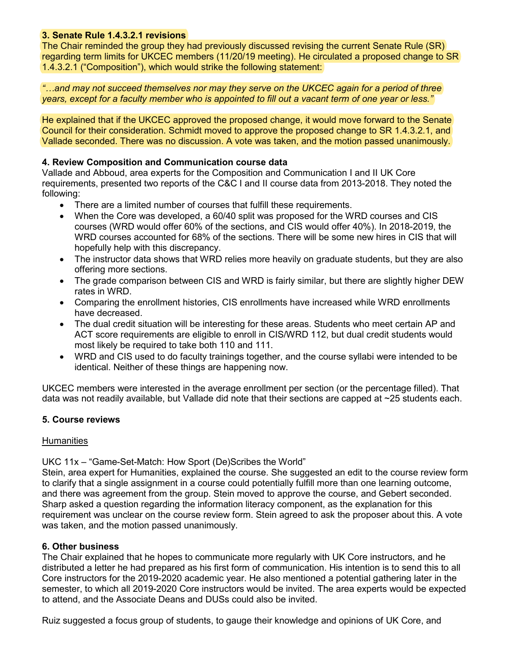# **3. Senate Rule 1.4.3.2.1 revisions**

The Chair reminded the group they had previously discussed revising the current Senate Rule (SR) regarding term limits for UKCEC members (11/20/19 meeting). He circulated a proposed change to SR 1.4.3.2.1 ("Composition"), which would strike the following statement:

*"…and may not succeed themselves nor may they serve on the UKCEC again for a period of three years, except for a faculty member who is appointed to fill out a vacant term of one year or less."*

He explained that if the UKCEC approved the proposed change, it would move forward to the Senate Council for their consideration. Schmidt moved to approve the proposed change to SR 1.4.3.2.1, and Vallade seconded. There was no discussion. A vote was taken, and the motion passed unanimously.

# **4. Review Composition and Communication course data**

Vallade and Abboud, area experts for the Composition and Communication I and II UK Core requirements, presented two reports of the C&C I and II course data from 2013-2018. They noted the following:

- There are a limited number of courses that fulfill these requirements.
- When the Core was developed, a 60/40 split was proposed for the WRD courses and CIS courses (WRD would offer 60% of the sections, and CIS would offer 40%). In 2018-2019, the WRD courses accounted for 68% of the sections. There will be some new hires in CIS that will hopefully help with this discrepancy.
- The instructor data shows that WRD relies more heavily on graduate students, but they are also offering more sections.
- The grade comparison between CIS and WRD is fairly similar, but there are slightly higher DEW rates in WRD.
- Comparing the enrollment histories, CIS enrollments have increased while WRD enrollments have decreased.
- The dual credit situation will be interesting for these areas. Students who meet certain AP and ACT score requirements are eligible to enroll in CIS/WRD 112, but dual credit students would most likely be required to take both 110 and 111.
- WRD and CIS used to do faculty trainings together, and the course syllabi were intended to be identical. Neither of these things are happening now.

UKCEC members were interested in the average enrollment per section (or the percentage filled). That data was not readily available, but Vallade did note that their sections are capped at ~25 students each.

# **5. Course reviews**

# Humanities

UKC 11x – "Game-Set-Match: How Sport (De)Scribes the World"

Stein, area expert for Humanities, explained the course. She suggested an edit to the course review form to clarify that a single assignment in a course could potentially fulfill more than one learning outcome, and there was agreement from the group. Stein moved to approve the course, and Gebert seconded. Sharp asked a question regarding the information literacy component, as the explanation for this requirement was unclear on the course review form. Stein agreed to ask the proposer about this. A vote was taken, and the motion passed unanimously.

# **6. Other business**

The Chair explained that he hopes to communicate more regularly with UK Core instructors, and he distributed a letter he had prepared as his first form of communication. His intention is to send this to all Core instructors for the 2019-2020 academic year. He also mentioned a potential gathering later in the semester, to which all 2019-2020 Core instructors would be invited. The area experts would be expected to attend, and the Associate Deans and DUSs could also be invited.

Ruiz suggested a focus group of students, to gauge their knowledge and opinions of UK Core, and